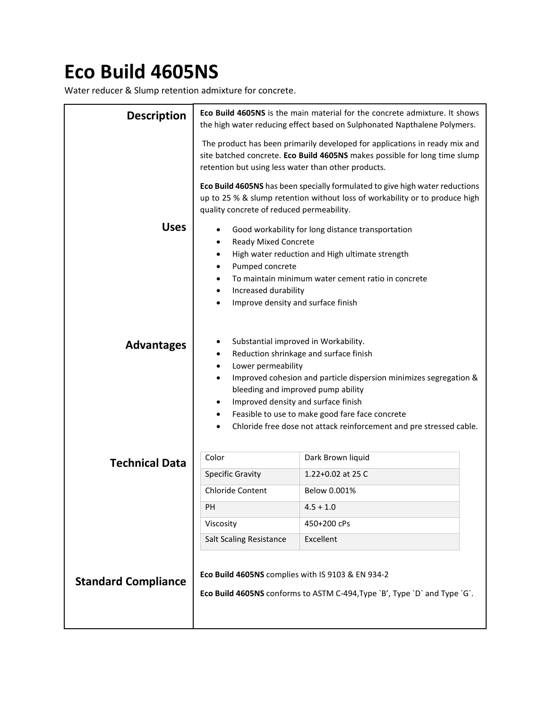## **Eco Build 4605NS**

Water reducer & Slump retention admixture for concrete.

| <b>Description</b>         | <b>Eco Build 4605NS</b> is the main material for the concrete admixture. It shows<br>the high water reducing effect based on Sulphonated Napthalene Polymers.                                                                                                                                                                                                                                                                                          |                   |  |  |  |
|----------------------------|--------------------------------------------------------------------------------------------------------------------------------------------------------------------------------------------------------------------------------------------------------------------------------------------------------------------------------------------------------------------------------------------------------------------------------------------------------|-------------------|--|--|--|
|                            | The product has been primarily developed for applications in ready mix and<br>site batched concrete. Eco Build 4605NS makes possible for long time slump<br>retention but using less water than other products.                                                                                                                                                                                                                                        |                   |  |  |  |
|                            | Eco Build 4605NS has been specially formulated to give high water reductions<br>up to 25 % & slump retention without loss of workability or to produce high<br>quality concrete of reduced permeability.                                                                                                                                                                                                                                               |                   |  |  |  |
| <b>Uses</b>                | Good workability for long distance transportation<br>٠<br>Ready Mixed Concrete<br>$\bullet$<br>High water reduction and High ultimate strength<br>$\bullet$<br>Pumped concrete<br>$\bullet$<br>To maintain minimum water cement ratio in concrete<br>$\bullet$<br>Increased durability<br>$\bullet$<br>Improve density and surface finish                                                                                                              |                   |  |  |  |
| <b>Advantages</b>          | Substantial improved in Workability.<br>٠<br>Reduction shrinkage and surface finish<br>$\bullet$<br>Lower permeability<br>$\bullet$<br>Improved cohesion and particle dispersion minimizes segregation &<br>$\bullet$<br>bleeding and improved pump ability<br>Improved density and surface finish<br>$\bullet$<br>Feasible to use to make good fare face concrete<br>$\bullet$<br>Chloride free dose not attack reinforcement and pre stressed cable. |                   |  |  |  |
| <b>Technical Data</b>      | Color                                                                                                                                                                                                                                                                                                                                                                                                                                                  | Dark Brown liquid |  |  |  |
|                            | <b>Specific Gravity</b>                                                                                                                                                                                                                                                                                                                                                                                                                                | 1.22+0.02 at 25 C |  |  |  |
|                            | <b>Chloride Content</b>                                                                                                                                                                                                                                                                                                                                                                                                                                | Below 0.001%      |  |  |  |
|                            | PH                                                                                                                                                                                                                                                                                                                                                                                                                                                     | $4.5 + 1.0$       |  |  |  |
|                            | Viscosity                                                                                                                                                                                                                                                                                                                                                                                                                                              | 450+200 cPs       |  |  |  |
|                            | <b>Salt Scaling Resistance</b>                                                                                                                                                                                                                                                                                                                                                                                                                         | Excellent         |  |  |  |
| <b>Standard Compliance</b> | Eco Build 4605NS complies with IS 9103 & EN 934-2<br>Eco Build 4605NS conforms to ASTM C-494, Type `B', Type `D` and Type `G`.                                                                                                                                                                                                                                                                                                                         |                   |  |  |  |